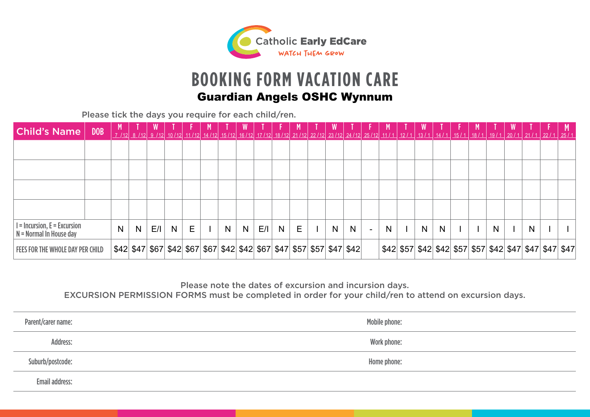

## **BOOKING FORM VACATION CARE**

|                                                             | <b>Guardian Angels OSHC Wynnum</b> |   |   |     |   |   |  |    |   |     |   |   |                                                                       |   |                          |   |   |   |  |   |                                                                                                                                                                    |  |
|-------------------------------------------------------------|------------------------------------|---|---|-----|---|---|--|----|---|-----|---|---|-----------------------------------------------------------------------|---|--------------------------|---|---|---|--|---|--------------------------------------------------------------------------------------------------------------------------------------------------------------------|--|
| Please tick the days you require for each child/ren.        |                                    |   |   |     |   |   |  |    |   |     |   |   |                                                                       |   |                          |   |   |   |  |   |                                                                                                                                                                    |  |
| <b>Child's Name</b>                                         | <b>DOB</b>                         |   |   |     |   |   |  |    |   |     |   |   |                                                                       |   |                          |   |   |   |  |   | <u>_7 /12 8 /12 9 /12 10/12 11/12 14/12 15/12 16/12 17/12 18/12 21/12 22/12 23/12 24/12 25/12 11/1 12/1 13/1 13/1 14/1 15/1 18/1 18/1 19/1 20/1 21/1 22/1 25/1</u> |  |
|                                                             |                                    |   |   |     |   |   |  |    |   |     |   |   |                                                                       |   |                          |   |   |   |  |   |                                                                                                                                                                    |  |
|                                                             |                                    |   |   |     |   |   |  |    |   |     |   |   |                                                                       |   |                          |   |   |   |  |   |                                                                                                                                                                    |  |
|                                                             |                                    |   |   |     |   |   |  |    |   |     |   |   |                                                                       |   |                          |   |   |   |  |   |                                                                                                                                                                    |  |
|                                                             |                                    |   |   |     |   |   |  |    |   |     |   |   |                                                                       |   |                          |   |   |   |  |   |                                                                                                                                                                    |  |
| $I = Incursion, E = Excursion$<br>$N =$ Normal In House day |                                    | N | N | E/I | N | E |  | N. | N | E/I | N | E | N.                                                                    | N | $\overline{\phantom{a}}$ | N | N | N |  | N | N                                                                                                                                                                  |  |
| <b>FEES FOR THE WHOLE DAY PER CHILD</b>                     |                                    |   |   |     |   |   |  |    |   |     |   |   | \$42 \$47 \$67 \$42 \$67 \$67 \$42 \$42 \$67 \$47 \$57 \$57 \$47 \$42 |   |                          |   |   |   |  |   | \$42 \$57 \$42 \$42 \$57 \$57 \$42 \$47 \$47 \$47 \$47                                                                                                             |  |

Please note the dates of excursion and incursion days.

EXCURSION PERMISSION FORMS must be completed in order for your child/ren to attend on excursion days.

| Parent/carer name:    | Mobile phone: |
|-----------------------|---------------|
| Address:              | Work phone:   |
| Suburb/postcode:      | Home phone:   |
| <b>Email address:</b> |               |
|                       |               |